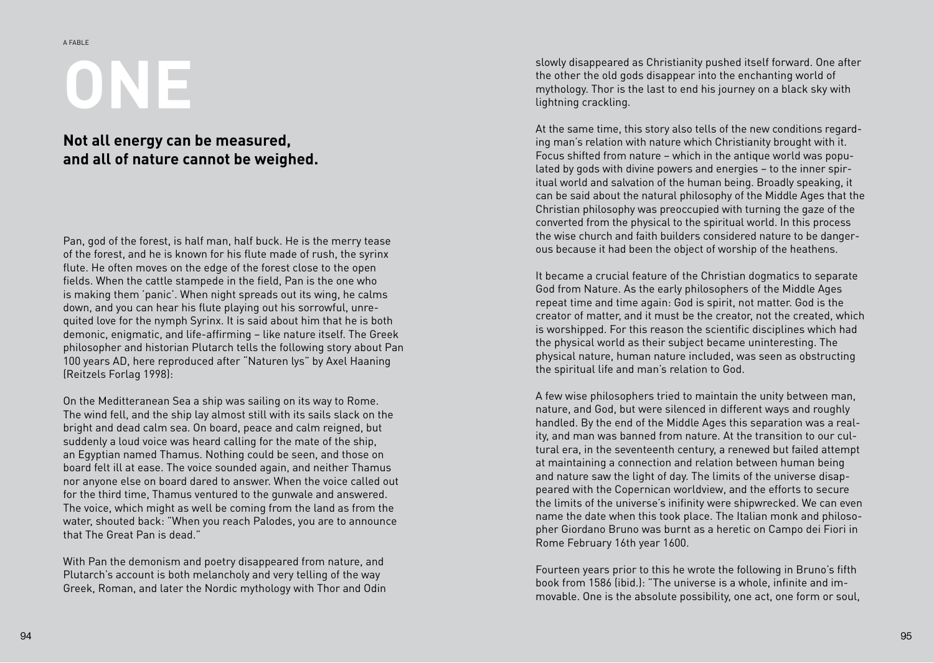## **ONE**

## **Not all energy can be measured, and all of nature cannot be weighed.**

Pan, god of the forest, is half man, half buck. He is the merry tease of the forest, and he is known for his flute made of rush, the syrinx flute. He often moves on the edge of the forest close to the open fields. When the cattle stampede in the field, Pan is the one who is making them 'panic'. When night spreads out its wing, he calms down, and you can hear his flute playing out his sorrowful, unre quited love for the nymph Syrinx. It is said about him that he is both demonic, enigmatic, and life-affirming – like nature itself. The Greek philosopher and historian Plutarch tells the following story about Pan 100 years AD, here reproduced after "Naturen lys" by Axel Haaning (Reitzels Forlag 1998):

On the Meditteranean Sea a ship was sailing on its way to Rome. The wind fell, and the ship lay almost still with its sails slack on the bright and dead calm sea. On board, peace and calm reigned, but suddenly a loud voice was heard calling for the mate of the ship, an Egyptian named Thamus. Nothing could be seen, and those on board felt ill at ease. The voice sounded again, and neither Thamus nor anyone else on board dared to answer. When the voice called out for the third time, Thamus ventured to the gunwale and answered. The voice, which might as well be coming from the land as from the water, shouted back: "When you reach Palodes, you are to announce that The Great Pan is dead."

With Pan the demonism and poetry disappeared from nature, and Plutarch's account is both melancholy and very telling of the way Greek, Roman, and later the Nordic mythology with Thor and Odin slowly disappeared as Christianity pushed itself forward. One after the other the old gods disappear into the enchanting world of mythology. Thor is the last to end his journey on a black sky with lightning crackling.

At the same time, this story also tells of the new conditions regard ing man's relation with nature which Christianity brought with it. Focus shifted from nature – which in the antique world was popu lated by gods with divine powers and energies – to the inner spir itual world and salvation of the human being. Broadly speaking, it can be said about the natural philosophy of the Middle Ages that the Christian philosophy was preoccupied with turning the gaze of the converted from the physical to the spiritual world. In this process the wise church and faith builders considered nature to be danger ous because it had been the object of worship of the heathens.

It became a crucial feature of the Christian dogmatics to separate God from Nature. As the early philosophers of the Middle Ages repeat time and time again: God is spirit, not matter. God is the creator of matter, and it must be the creator, not the created, which is worshipped. For this reason the scientific disciplines which had the physical world as their subject became uninteresting. The physical nature, human nature included, was seen as obstructing the spiritual life and man's relation to God.

A few wise philosophers tried to maintain the unity between man, nature, and God, but were silenced in different ways and roughly handled. By the end of the Middle Ages this separation was a real ity, and man was banned from nature. At the transition to our cul tural era, in the seventeenth century, a renewed but failed attempt at maintaining a connection and relation between human being and nature saw the light of day. The limits of the universe disap peared with the Copernican worldview, and the efforts to secure the limits of the universe's inifinity were shipwrecked. We can even name the date when this took place. The Italian monk and philoso pher Giordano Bruno was burnt as a heretic on Campo dei Fiori in Rome February 16th year 1600.

Fourteen years prior to this he wrote the following in Bruno's fifth book from 1586 (ibid.): "The universe is a whole, infinite and im movable. One is the absolute possibility, one act, one form or soul,